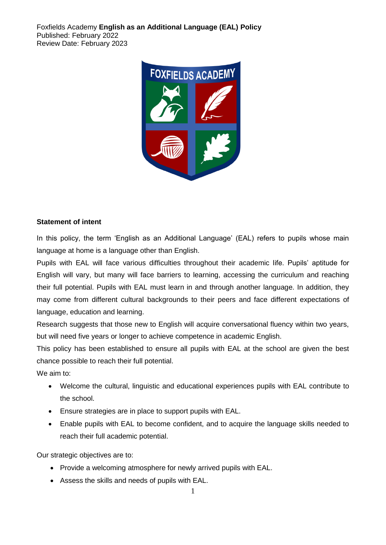Foxfields Academy **English as an Additional Language (EAL) Policy** Published: February 2022 Review Date: February 2023



#### **Statement of intent**

In this policy, the term 'English as an Additional Language' (EAL) refers to pupils whose main language at home is a language other than English.

Pupils with EAL will face various difficulties throughout their academic life. Pupils' aptitude for English will vary, but many will face barriers to learning, accessing the curriculum and reaching their full potential. Pupils with EAL must learn in and through another language. In addition, they may come from different cultural backgrounds to their peers and face different expectations of language, education and learning.

Research suggests that those new to English will acquire conversational fluency within two years, but will need five years or longer to achieve competence in academic English.

This policy has been established to ensure all pupils with EAL at the school are given the best chance possible to reach their full potential.

We aim to:

- Welcome the cultural, linguistic and educational experiences pupils with EAL contribute to the school.
- Ensure strategies are in place to support pupils with EAL.
- Enable pupils with EAL to become confident, and to acquire the language skills needed to reach their full academic potential.

Our strategic objectives are to:

- Provide a welcoming atmosphere for newly arrived pupils with EAL.
- Assess the skills and needs of pupils with EAL.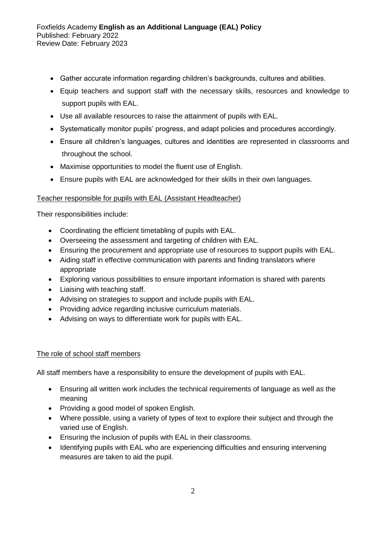Foxfields Academy **English as an Additional Language (EAL) Policy** Published: February 2022 Review Date: February 2023

- Gather accurate information regarding children's backgrounds, cultures and abilities.
- Equip teachers and support staff with the necessary skills, resources and knowledge to support pupils with EAL.
- Use all available resources to raise the attainment of pupils with EAL.
- Systematically monitor pupils' progress, and adapt policies and procedures accordingly.
- Ensure all children's languages, cultures and identities are represented in classrooms and throughout the school.
- Maximise opportunities to model the fluent use of English.
- Ensure pupils with EAL are acknowledged for their skills in their own languages.

### Teacher responsible for pupils with EAL (Assistant Headteacher)

Their responsibilities include:

- Coordinating the efficient timetabling of pupils with EAL.
- Overseeing the assessment and targeting of children with EAL.
- Ensuring the procurement and appropriate use of resources to support pupils with EAL.
- Aiding staff in effective communication with parents and finding translators where appropriate
- Exploring various possibilities to ensure important information is shared with parents
- Liaising with teaching staff.
- Advising on strategies to support and include pupils with EAL.
- Providing advice regarding inclusive curriculum materials.
- Advising on ways to differentiate work for pupils with EAL.

### The role of school staff members

All staff members have a responsibility to ensure the development of pupils with EAL.

- Ensuring all written work includes the technical requirements of language as well as the meaning
- Providing a good model of spoken English.
- Where possible, using a variety of types of text to explore their subject and through the varied use of English.
- Ensuring the inclusion of pupils with EAL in their classrooms.
- Identifying pupils with EAL who are experiencing difficulties and ensuring intervening measures are taken to aid the pupil.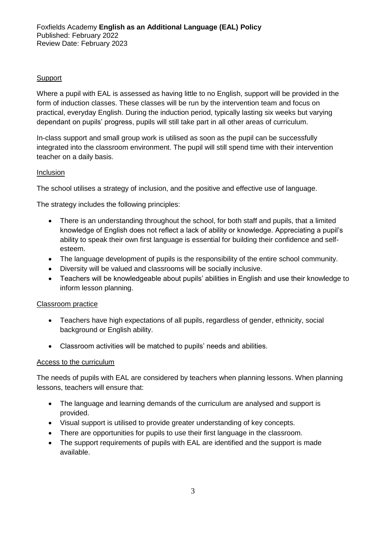# **Support**

Where a pupil with EAL is assessed as having little to no English, support will be provided in the form of induction classes. These classes will be run by the intervention team and focus on practical, everyday English. During the induction period, typically lasting six weeks but varying dependant on pupils' progress, pupils will still take part in all other areas of curriculum.

In-class support and small group work is utilised as soon as the pupil can be successfully integrated into the classroom environment. The pupil will still spend time with their intervention teacher on a daily basis.

## Inclusion

The school utilises a strategy of inclusion, and the positive and effective use of language.

The strategy includes the following principles:

- There is an understanding throughout the school, for both staff and pupils, that a limited knowledge of English does not reflect a lack of ability or knowledge. Appreciating a pupil's ability to speak their own first language is essential for building their confidence and selfesteem.
- The language development of pupils is the responsibility of the entire school community.
- Diversity will be valued and classrooms will be socially inclusive.
- Teachers will be knowledgeable about pupils' abilities in English and use their knowledge to inform lesson planning.

### Classroom practice

- Teachers have high expectations of all pupils, regardless of gender, ethnicity, social background or English ability.
- Classroom activities will be matched to pupils' needs and abilities.

### Access to the curriculum

The needs of pupils with EAL are considered by teachers when planning lessons. When planning lessons, teachers will ensure that:

- The language and learning demands of the curriculum are analysed and support is provided.
- Visual support is utilised to provide greater understanding of key concepts.
- There are opportunities for pupils to use their first language in the classroom.
- The support requirements of pupils with EAL are identified and the support is made available.